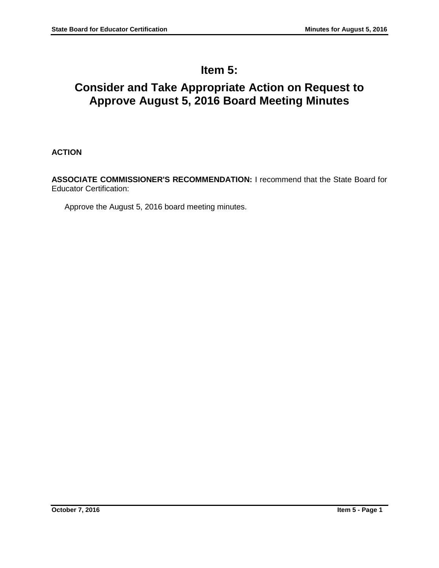# **Item 5:**

# **Consider and Take Appropriate Action on Request to Approve August 5, 2016 Board Meeting Minutes**

**ACTION**

**ASSOCIATE COMMISSIONER'S RECOMMENDATION:** I recommend that the State Board for Educator Certification:

Approve the August 5, 2016 board meeting minutes.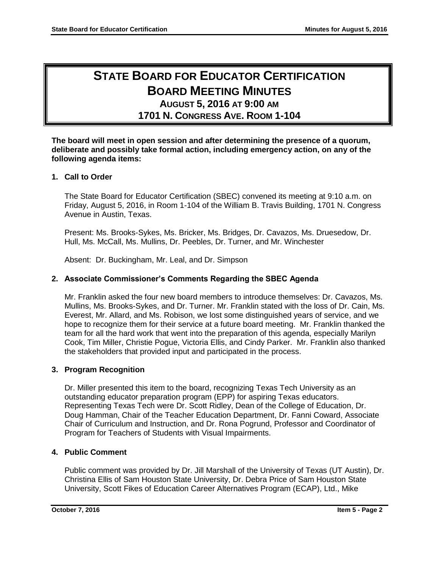# **STATE BOARD FOR EDUCATOR CERTIFICATION BOARD MEETING MINUTES AUGUST 5, 2016 AT 9:00 AM**

# **1701 N. CONGRESS AVE. ROOM 1-104**

**The board will meet in open session and after determining the presence of a quorum, deliberate and possibly take formal action, including emergency action, on any of the following agenda items:**

# **1. Call to Order**

The State Board for Educator Certification (SBEC) convened its meeting at 9:10 a.m. on Friday, August 5, 2016, in Room 1-104 of the William B. Travis Building, 1701 N. Congress Avenue in Austin, Texas.

Present: Ms. Brooks-Sykes, Ms. Bricker, Ms. Bridges, Dr. Cavazos, Ms. Druesedow, Dr. Hull, Ms. McCall, Ms. Mullins, Dr. Peebles, Dr. Turner, and Mr. Winchester

Absent: Dr. Buckingham, Mr. Leal, and Dr. Simpson

# **2. Associate Commissioner's Comments Regarding the SBEC Agenda**

Mr. Franklin asked the four new board members to introduce themselves: Dr. Cavazos, Ms. Mullins, Ms. Brooks-Sykes, and Dr. Turner. Mr. Franklin stated with the loss of Dr. Cain, Ms. Everest, Mr. Allard, and Ms. Robison, we lost some distinguished years of service, and we hope to recognize them for their service at a future board meeting. Mr. Franklin thanked the team for all the hard work that went into the preparation of this agenda, especially Marilyn Cook, Tim Miller, Christie Pogue, Victoria Ellis, and Cindy Parker. Mr. Franklin also thanked the stakeholders that provided input and participated in the process.

## **3. Program Recognition**

Dr. Miller presented this item to the board, recognizing Texas Tech University as an outstanding educator preparation program (EPP) for aspiring Texas educators. Representing Texas Tech were Dr. Scott Ridley, Dean of the College of Education, Dr. Doug Hamman, Chair of the Teacher Education Department, Dr. Fanni Coward, Associate Chair of Curriculum and Instruction, and Dr. Rona Pogrund, Professor and Coordinator of Program for Teachers of Students with Visual Impairments.

## **4. Public Comment**

Public comment was provided by Dr. Jill Marshall of the University of Texas (UT Austin), Dr. Christina Ellis of Sam Houston State University, Dr. Debra Price of Sam Houston State University, Scott Fikes of Education Career Alternatives Program (ECAP), Ltd., Mike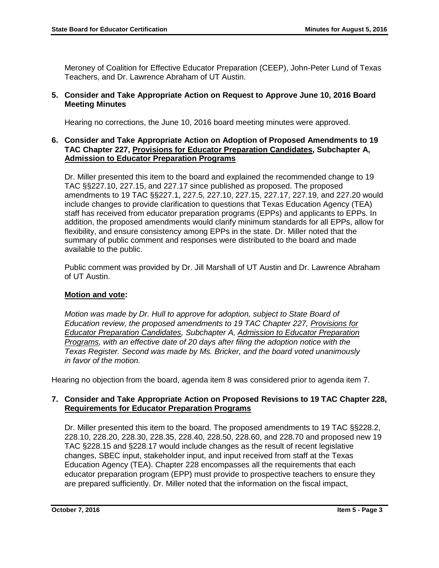Meroney of Coalition for Effective Educator Preparation (CEEP), John-Peter Lund of Texas Teachers, and Dr. Lawrence Abraham of UT Austin.

## **5. Consider and Take Appropriate Action on Request to Approve June 10, 2016 Board Meeting Minutes**

Hearing no corrections, the June 10, 2016 board meeting minutes were approved.

## **6. Consider and Take Appropriate Action on Adoption of Proposed Amendments to 19 TAC Chapter 227, Provisions for Educator Preparation Candidates, Subchapter A, Admission to Educator Preparation Programs**

Dr. Miller presented this item to the board and explained the recommended change to 19 TAC §§227.10, 227.15, and 227.17 since published as proposed. The proposed amendments to 19 TAC §§227.1, 227.5, 227.10, 227.15, 227.17, 227.19, and 227.20 would include changes to provide clarification to questions that Texas Education Agency (TEA) staff has received from educator preparation programs (EPPs) and applicants to EPPs. In addition, the proposed amendments would clarify minimum standards for all EPPs, allow for flexibility, and ensure consistency among EPPs in the state. Dr. Miller noted that the summary of public comment and responses were distributed to the board and made available to the public.

Public comment was provided by Dr. Jill Marshall of UT Austin and Dr. Lawrence Abraham of UT Austin.

# **Motion and vote:**

*Motion was made by Dr. Hull to approve for adoption, subject to State Board of Education review, the proposed amendments to 19 TAC Chapter 227, Provisions for Educator Preparation Candidates, Subchapter A, Admission to Educator Preparation Programs, with an effective date of 20 days after filing the adoption notice with the Texas Register. Second was made by Ms. Bricker, and the board voted unanimously in favor of the motion.*

Hearing no objection from the board, agenda item 8 was considered prior to agenda item 7.

# **7. Consider and Take Appropriate Action on Proposed Revisions to 19 TAC Chapter 228, Requirements for Educator Preparation Programs**

Dr. Miller presented this item to the board. The proposed amendments to 19 TAC §§228.2, 228.10, 228.20, 228.30, 228.35, 228.40, 228.50, 228.60, and 228.70 and proposed new 19 TAC §228.15 and §228.17 would include changes as the result of recent legislative changes, SBEC input, stakeholder input, and input received from staff at the Texas Education Agency (TEA). Chapter 228 encompasses all the requirements that each educator preparation program (EPP) must provide to prospective teachers to ensure they are prepared sufficiently. Dr. Miller noted that the information on the fiscal impact,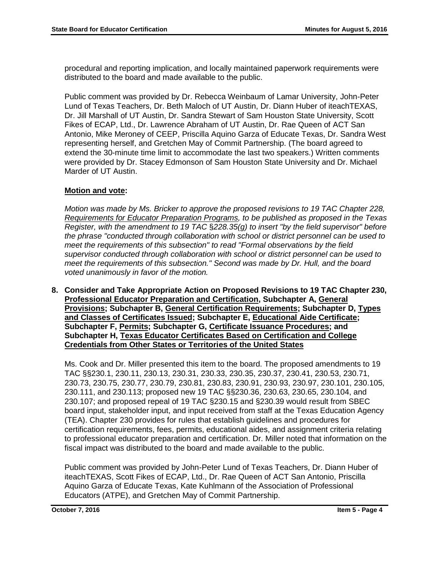procedural and reporting implication, and locally maintained paperwork requirements were distributed to the board and made available to the public.

Public comment was provided by Dr. Rebecca Weinbaum of Lamar University, John-Peter Lund of Texas Teachers, Dr. Beth Maloch of UT Austin, Dr. Diann Huber of iteachTEXAS, Dr. Jill Marshall of UT Austin, Dr. Sandra Stewart of Sam Houston State University, Scott Fikes of ECAP, Ltd., Dr. Lawrence Abraham of UT Austin, Dr. Rae Queen of ACT San Antonio, Mike Meroney of CEEP, Priscilla Aquino Garza of Educate Texas, Dr. Sandra West representing herself, and Gretchen May of Commit Partnership. (The board agreed to extend the 30-minute time limit to accommodate the last two speakers.) Written comments were provided by Dr. Stacey Edmonson of Sam Houston State University and Dr. Michael Marder of UT Austin.

## **Motion and vote:**

*Motion was made by Ms. Bricker to approve the proposed revisions to 19 TAC Chapter 228, Requirements for Educator Preparation Programs, to be published as proposed in the Texas Register, with the amendment to 19 TAC* §*228.35(g) to insert "by the field supervisor" before the phrase "conducted through collaboration with school or district personnel can be used to meet the requirements of this subsection" to read "Formal observations by the field supervisor conducted through collaboration with school or district personnel can be used to meet the requirements of this subsection." Second was made by Dr. Hull, and the board voted unanimously in favor of the motion.*

**8. Consider and Take Appropriate Action on Proposed Revisions to 19 TAC Chapter 230, Professional Educator Preparation and Certification, Subchapter A, General Provisions; Subchapter B, General Certification Requirements; Subchapter D, Types and Classes of Certificates Issued; Subchapter E, Educational Aide Certificate; Subchapter F, Permits; Subchapter G, Certificate Issuance Procedures; and Subchapter H, Texas Educator Certificates Based on Certification and College Credentials from Other States or Territories of the United States**

Ms. Cook and Dr. Miller presented this item to the board. The proposed amendments to 19 TAC §§230.1, 230.11, 230.13, 230.31, 230.33, 230.35, 230.37, 230.41, 230.53, 230.71, 230.73, 230.75, 230.77, 230.79, 230.81, 230.83, 230.91, 230.93, 230.97, 230.101, 230.105, 230.111, and 230.113; proposed new 19 TAC §§230.36, 230.63, 230.65, 230.104, and 230.107; and proposed repeal of 19 TAC §230.15 and §230.39 would result from SBEC board input, stakeholder input, and input received from staff at the Texas Education Agency (TEA). Chapter 230 provides for rules that establish guidelines and procedures for certification requirements, fees, permits, educational aides, and assignment criteria relating to professional educator preparation and certification. Dr. Miller noted that information on the fiscal impact was distributed to the board and made available to the public.

Public comment was provided by John-Peter Lund of Texas Teachers, Dr. Diann Huber of iteachTEXAS, Scott Fikes of ECAP, Ltd., Dr. Rae Queen of ACT San Antonio, Priscilla Aquino Garza of Educate Texas, Kate Kuhlmann of the Association of Professional Educators (ATPE), and Gretchen May of Commit Partnership.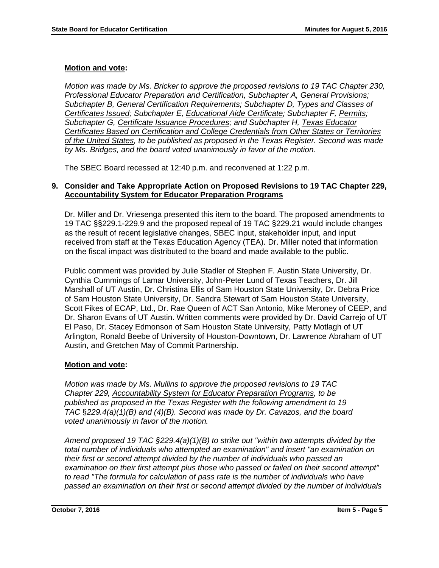# **Motion and vote:**

*Motion was made by Ms. Bricker to approve the proposed revisions to 19 TAC Chapter 230, Professional Educator Preparation and Certification, Subchapter A, General Provisions; Subchapter B, General Certification Requirements; Subchapter D, Types and Classes of Certificates Issued; Subchapter E, Educational Aide Certificate; Subchapter F, Permits; Subchapter G, Certificate Issuance Procedures; and Subchapter H, Texas Educator Certificates Based on Certification and College Credentials from Other States or Territories of the United States, to be published as proposed in the Texas Register. Second was made by Ms. Bridges, and the board voted unanimously in favor of the motion.*

The SBEC Board recessed at 12:40 p.m. and reconvened at 1:22 p.m.

## **9. Consider and Take Appropriate Action on Proposed Revisions to 19 TAC Chapter 229, Accountability System for Educator Preparation Programs**

Dr. Miller and Dr. Vriesenga presented this item to the board. The proposed amendments to 19 TAC §§229.1-229.9 and the proposed repeal of 19 TAC §229.21 would include changes as the result of recent legislative changes, SBEC input, stakeholder input, and input received from staff at the Texas Education Agency (TEA). Dr. Miller noted that information on the fiscal impact was distributed to the board and made available to the public.

Public comment was provided by Julie Stadler of Stephen F. Austin State University, Dr. Cynthia Cummings of Lamar University, John-Peter Lund of Texas Teachers, Dr. Jill Marshall of UT Austin, Dr. Christina Ellis of Sam Houston State University, Dr. Debra Price of Sam Houston State University, Dr. Sandra Stewart of Sam Houston State University, Scott Fikes of ECAP, Ltd., Dr. Rae Queen of ACT San Antonio, Mike Meroney of CEEP, and Dr. Sharon Evans of UT Austin. Written comments were provided by Dr. David Carrejo of UT El Paso, Dr. Stacey Edmonson of Sam Houston State University, Patty Motlagh of UT Arlington, Ronald Beebe of University of Houston-Downtown, Dr. Lawrence Abraham of UT Austin, and Gretchen May of Commit Partnership.

# **Motion and vote:**

*Motion was made by Ms. Mullins to approve the proposed revisions to 19 TAC Chapter 229, Accountability System for Educator Preparation Programs, to be published as proposed in the Texas Register with the following amendment to 19 TAC* §*229.4(a)(1)(B) and (4)(B). Second was made by Dr. Cavazos, and the board voted unanimously in favor of the motion.*

*Amend proposed 19 TAC §229.4(a)(1)(B) to strike out "within two attempts divided by the total number of individuals who attempted an examination" and insert "an examination on their first or second attempt divided by the number of individuals who passed an examination on their first attempt plus those who passed or failed on their second attempt" to read "The formula for calculation of pass rate is the number of individuals who have passed an examination on their first or second attempt divided by the number of individuals*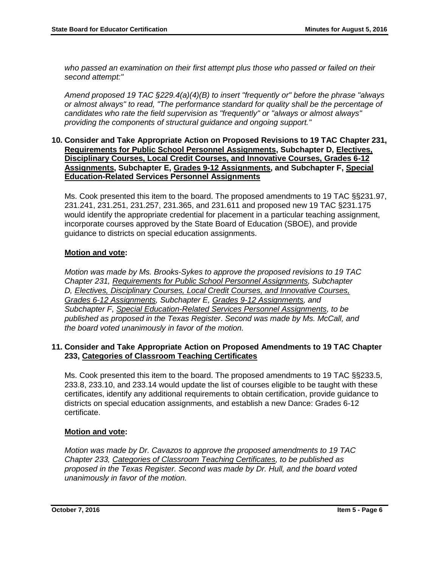*who passed an examination on their first attempt plus those who passed or failed on their second attempt:"*

*Amend proposed 19 TAC §229.4(a)(4)(B) to insert "frequently or" before the phrase "always or almost always" to read, "The performance standard for quality shall be the percentage of candidates who rate the field supervision as "frequently" or "always or almost always" providing the components of structural guidance and ongoing support."*

#### **10. Consider and Take Appropriate Action on Proposed Revisions to 19 TAC Chapter 231, Requirements for Public School Personnel Assignments, Subchapter D, Electives, Disciplinary Courses, Local Credit Courses, and Innovative Courses, Grades 6-12 Assignments, Subchapter E, Grades 9-12 Assignments, and Subchapter F, Special Education-Related Services Personnel Assignments**

Ms. Cook presented this item to the board. The proposed amendments to 19 TAC §§231.97, 231.241, 231.251, 231.257, 231.365, and 231.611 and proposed new 19 TAC §231.175 would identify the appropriate credential for placement in a particular teaching assignment, incorporate courses approved by the State Board of Education (SBOE), and provide guidance to districts on special education assignments.

## **Motion and vote:**

*Motion was made by Ms. Brooks-Sykes to approve the proposed revisions to 19 TAC Chapter 231, Requirements for Public School Personnel Assignments, Subchapter D, Electives, Disciplinary Courses, Local Credit Courses, and Innovative Courses, Grades 6-12 Assignments, Subchapter E, Grades 9-12 Assignments, and Subchapter F, Special Education-Related Services Personnel Assignments, to be published as proposed in the Texas Register*. *Second was made by Ms. McCall, and the board voted unanimously in favor of the motion.*

#### **11. Consider and Take Appropriate Action on Proposed Amendments to 19 TAC Chapter 233, Categories of Classroom Teaching Certificates**

Ms. Cook presented this item to the board. The proposed amendments to 19 TAC §§233.5, 233.8, 233.10, and 233.14 would update the list of courses eligible to be taught with these certificates, identify any additional requirements to obtain certification, provide guidance to districts on special education assignments, and establish a new Dance: Grades 6-12 certificate.

## **Motion and vote:**

*Motion was made by Dr. Cavazos to approve the proposed amendments to 19 TAC Chapter 233, Categories of Classroom Teaching Certificates, to be published as proposed in the Texas Register. Second was made by Dr. Hull, and the board voted unanimously in favor of the motion.*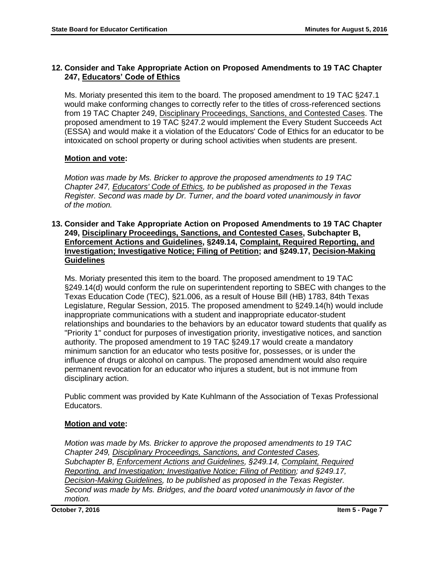# **12. Consider and Take Appropriate Action on Proposed Amendments to 19 TAC Chapter 247, Educators' Code of Ethics**

Ms. Moriaty presented this item to the board. The proposed amendment to 19 TAC §247.1 would make conforming changes to correctly refer to the titles of cross-referenced sections from 19 TAC Chapter 249, Disciplinary Proceedings, Sanctions, and Contested Cases. The proposed amendment to 19 TAC §247.2 would implement the Every Student Succeeds Act (ESSA) and would make it a violation of the Educators' Code of Ethics for an educator to be intoxicated on school property or during school activities when students are present.

# **Motion and vote:**

*Motion was made by Ms. Bricker to approve the proposed amendments to 19 TAC Chapter 247, Educators' Code of Ethics, to be published as proposed in the Texas Register. Second was made by Dr. Turner, and the board voted unanimously in favor of the motion.*

#### **13. Consider and Take Appropriate Action on Proposed Amendments to 19 TAC Chapter 249, Disciplinary Proceedings, Sanctions, and Contested Cases, Subchapter B, Enforcement Actions and Guidelines, §249.14, Complaint, Required Reporting, and Investigation; Investigative Notice; Filing of Petition; and §249.17, Decision-Making Guidelines**

Ms. Moriaty presented this item to the board. The proposed amendment to 19 TAC §249.14(d) would conform the rule on superintendent reporting to SBEC with changes to the Texas Education Code (TEC), §21.006, as a result of House Bill (HB) 1783, 84th Texas Legislature, Regular Session, 2015. The proposed amendment to §249.14(h) would include inappropriate communications with a student and inappropriate educator-student relationships and boundaries to the behaviors by an educator toward students that qualify as "Priority 1" conduct for purposes of investigation priority, investigative notices, and sanction authority. The proposed amendment to 19 TAC §249.17 would create a mandatory minimum sanction for an educator who tests positive for, possesses, or is under the influence of drugs or alcohol on campus. The proposed amendment would also require permanent revocation for an educator who injures a student, but is not immune from disciplinary action.

Public comment was provided by Kate Kuhlmann of the Association of Texas Professional Educators.

# **Motion and vote:**

*Motion was made by Ms. Bricker to approve the proposed amendments to 19 TAC Chapter 249, Disciplinary Proceedings, Sanctions, and Contested Cases, Subchapter B, Enforcement Actions and Guidelines, §249.14, Complaint, Required Reporting, and Investigation; Investigative Notice; Filing of Petition; and §249.17, Decision-Making Guidelines, to be published as proposed in the Texas Register. Second was made by Ms. Bridges, and the board voted unanimously in favor of the motion.*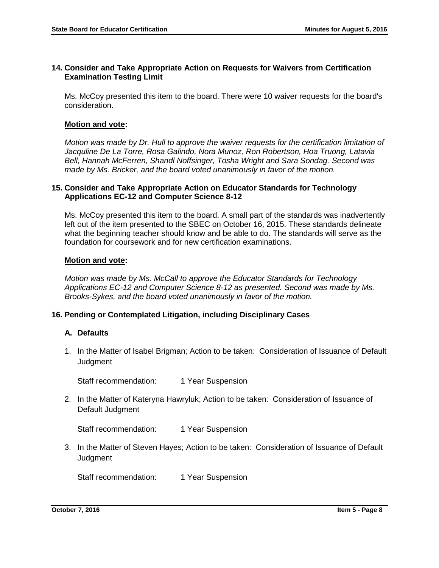## **14. Consider and Take Appropriate Action on Requests for Waivers from Certification Examination Testing Limit**

Ms. McCoy presented this item to the board. There were 10 waiver requests for the board's consideration.

#### **Motion and vote:**

*Motion was made by Dr. Hull to approve the waiver requests for the certification limitation of Jacquline De La Torre, Rosa Galindo, Nora Munoz, Ron Robertson, Hoa Truong, Latavia Bell, Hannah McFerren, Shandl Noffsinger, Tosha Wright and Sara Sondag. Second was made by Ms. Bricker, and the board voted unanimously in favor of the motion.*

#### **15. Consider and Take Appropriate Action on Educator Standards for Technology Applications EC-12 and Computer Science 8-12**

Ms. McCoy presented this item to the board. A small part of the standards was inadvertently left out of the item presented to the SBEC on October 16, 2015. These standards delineate what the beginning teacher should know and be able to do. The standards will serve as the foundation for coursework and for new certification examinations.

#### **Motion and vote:**

*Motion was made by Ms. McCall to approve the Educator Standards for Technology Applications EC-12 and Computer Science 8-12 as presented. Second was made by Ms. Brooks-Sykes, and the board voted unanimously in favor of the motion.*

## **16. Pending or Contemplated Litigation, including Disciplinary Cases**

#### **A. Defaults**

1. In the Matter of Isabel Brigman; Action to be taken: Consideration of Issuance of Default **Judgment** 

Staff recommendation: 1 Year Suspension

2. In the Matter of Kateryna Hawryluk; Action to be taken: Consideration of Issuance of Default Judgment

Staff recommendation: 1 Year Suspension

3. In the Matter of Steven Hayes; Action to be taken: Consideration of Issuance of Default **Judgment** 

Staff recommendation: 1 Year Suspension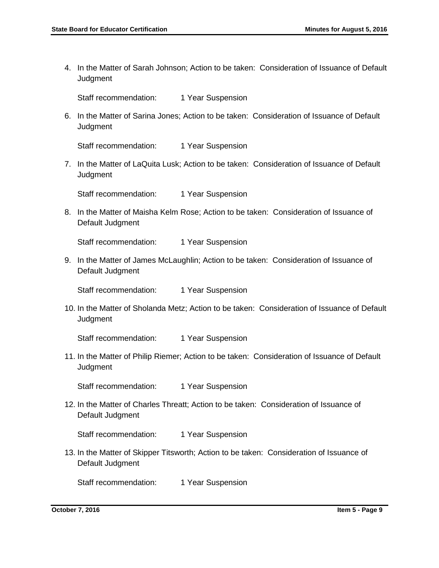4. In the Matter of Sarah Johnson; Action to be taken: Consideration of Issuance of Default **Judgment** 

Staff recommendation: 1 Year Suspension

6. In the Matter of Sarina Jones; Action to be taken: Consideration of Issuance of Default **Judgment** 

Staff recommendation: 1 Year Suspension

7. In the Matter of LaQuita Lusk; Action to be taken: Consideration of Issuance of Default **Judgment** 

Staff recommendation: 1 Year Suspension

8. In the Matter of Maisha Kelm Rose; Action to be taken: Consideration of Issuance of Default Judgment

Staff recommendation: 1 Year Suspension

9. In the Matter of James McLaughlin; Action to be taken: Consideration of Issuance of Default Judgment

Staff recommendation: 1 Year Suspension

10. In the Matter of Sholanda Metz; Action to be taken: Consideration of Issuance of Default **Judgment** 

Staff recommendation: 1 Year Suspension

11. In the Matter of Philip Riemer; Action to be taken: Consideration of Issuance of Default **Judgment** 

Staff recommendation: 1 Year Suspension

12. In the Matter of Charles Threatt; Action to be taken: Consideration of Issuance of Default Judgment

Staff recommendation: 1 Year Suspension

13. In the Matter of Skipper Titsworth; Action to be taken: Consideration of Issuance of Default Judgment

Staff recommendation: 1 Year Suspension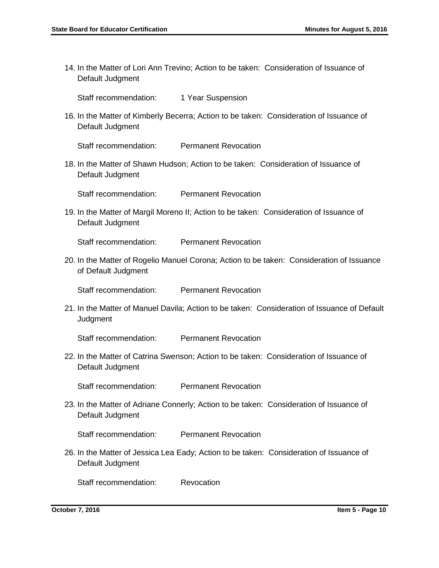14. In the Matter of Lori Ann Trevino; Action to be taken: Consideration of Issuance of Default Judgment

Staff recommendation: 1 Year Suspension

16. In the Matter of Kimberly Becerra; Action to be taken: Consideration of Issuance of Default Judgment

Staff recommendation: Permanent Revocation

18. In the Matter of Shawn Hudson; Action to be taken: Consideration of Issuance of Default Judgment

Staff recommendation: Permanent Revocation

19. In the Matter of Margil Moreno II; Action to be taken: Consideration of Issuance of Default Judgment

Staff recommendation: Permanent Revocation

20. In the Matter of Rogelio Manuel Corona; Action to be taken: Consideration of Issuance of Default Judgment

Staff recommendation: Permanent Revocation

21. In the Matter of Manuel Davila; Action to be taken: Consideration of Issuance of Default **Judgment** 

Staff recommendation: Permanent Revocation

22. In the Matter of Catrina Swenson; Action to be taken: Consideration of Issuance of Default Judgment

Staff recommendation: Permanent Revocation

23. In the Matter of Adriane Connerly; Action to be taken: Consideration of Issuance of Default Judgment

Staff recommendation: Permanent Revocation

26. In the Matter of Jessica Lea Eady; Action to be taken: Consideration of Issuance of Default Judgment

Staff recommendation: Revocation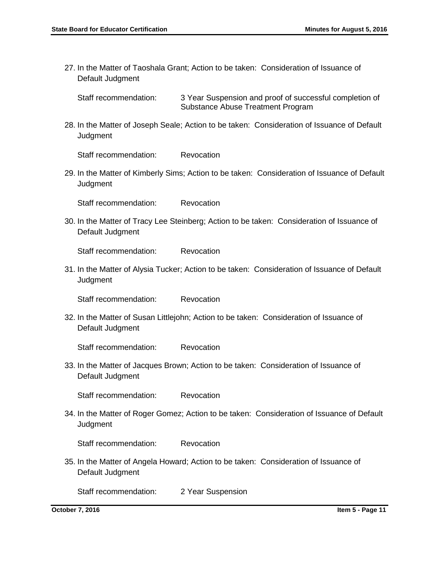27. In the Matter of Taoshala Grant; Action to be taken: Consideration of Issuance of Default Judgment

Staff recommendation: 3 Year Suspension and proof of successful completion of Substance Abuse Treatment Program

28. In the Matter of Joseph Seale; Action to be taken: Consideration of Issuance of Default **Judgment** 

Staff recommendation: Revocation

29. In the Matter of Kimberly Sims; Action to be taken: Consideration of Issuance of Default **Judgment** 

Staff recommendation: Revocation

30. In the Matter of Tracy Lee Steinberg; Action to be taken: Consideration of Issuance of Default Judgment

Staff recommendation: Revocation

31. In the Matter of Alysia Tucker; Action to be taken: Consideration of Issuance of Default **Judgment** 

Staff recommendation: Revocation

32. In the Matter of Susan Littlejohn; Action to be taken: Consideration of Issuance of Default Judgment

Staff recommendation: Revocation

33. In the Matter of Jacques Brown; Action to be taken: Consideration of Issuance of Default Judgment

Staff recommendation: Revocation

34. In the Matter of Roger Gomez; Action to be taken: Consideration of Issuance of Default Judgment

Staff recommendation: Revocation

35. In the Matter of Angela Howard; Action to be taken: Consideration of Issuance of Default Judgment

Staff recommendation: 2 Year Suspension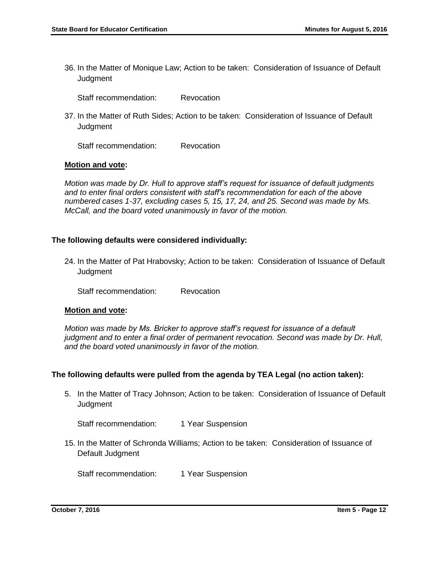36. In the Matter of Monique Law; Action to be taken: Consideration of Issuance of Default **Judgment** 

Staff recommendation: Revocation

37. In the Matter of Ruth Sides; Action to be taken: Consideration of Issuance of Default **Judgment** 

Staff recommendation: Revocation

#### **Motion and vote:**

*Motion was made by Dr. Hull to approve staff's request for issuance of default judgments and to enter final orders consistent with staff's recommendation for each of the above numbered cases 1-37, excluding cases 5, 15, 17, 24, and 25. Second was made by Ms. McCall, and the board voted unanimously in favor of the motion.*

#### **The following defaults were considered individually:**

24. In the Matter of Pat Hrabovsky; Action to be taken: Consideration of Issuance of Default **Judgment** 

Staff recommendation: Revocation

#### **Motion and vote:**

*Motion was made by Ms. Bricker to approve staff's request for issuance of a default judgment and to enter a final order of permanent revocation. Second was made by Dr. Hull, and the board voted unanimously in favor of the motion.*

## **The following defaults were pulled from the agenda by TEA Legal (no action taken):**

5. In the Matter of Tracy Johnson; Action to be taken: Consideration of Issuance of Default Judgment

Staff recommendation: 1 Year Suspension

15. In the Matter of Schronda Williams; Action to be taken: Consideration of Issuance of Default Judgment

Staff recommendation: 1 Year Suspension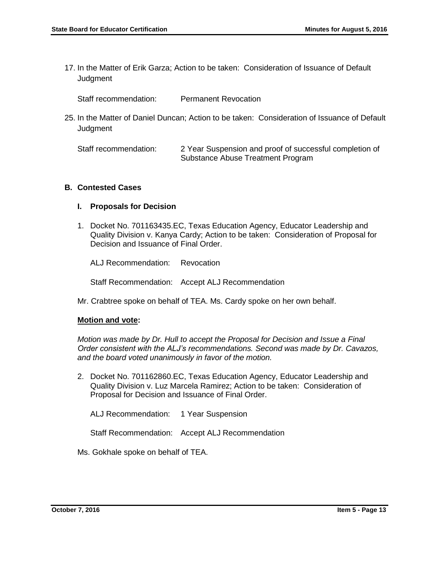17. In the Matter of Erik Garza; Action to be taken: Consideration of Issuance of Default **Judgment** 

Staff recommendation: Permanent Revocation

25. In the Matter of Daniel Duncan; Action to be taken: Consideration of Issuance of Default **Judgment** 

Staff recommendation: 2 Year Suspension and proof of successful completion of Substance Abuse Treatment Program

#### **B. Contested Cases**

#### **I. Proposals for Decision**

1. Docket No. 701163435.EC, Texas Education Agency, Educator Leadership and Quality Division v. Kanya Cardy; Action to be taken: Consideration of Proposal for Decision and Issuance of Final Order.

ALJ Recommendation: Revocation

Staff Recommendation: Accept ALJ Recommendation

Mr. Crabtree spoke on behalf of TEA. Ms. Cardy spoke on her own behalf.

#### **Motion and vote:**

*Motion was made by Dr. Hull to accept the Proposal for Decision and Issue a Final Order consistent with the ALJ's recommendations. Second was made by Dr. Cavazos, and the board voted unanimously in favor of the motion.*

2. Docket No. 701162860.EC, Texas Education Agency, Educator Leadership and Quality Division v. Luz Marcela Ramirez; Action to be taken: Consideration of Proposal for Decision and Issuance of Final Order.

ALJ Recommendation: 1 Year Suspension

Staff Recommendation: Accept ALJ Recommendation

Ms. Gokhale spoke on behalf of TEA.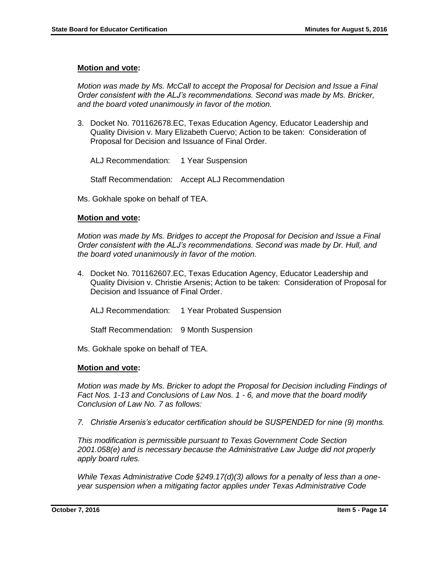## **Motion and vote:**

*Motion was made by Ms. McCall to accept the Proposal for Decision and Issue a Final Order consistent with the ALJ's recommendations. Second was made by Ms. Bricker, and the board voted unanimously in favor of the motion.*

3. Docket No. 701162678.EC, Texas Education Agency, Educator Leadership and Quality Division v. Mary Elizabeth Cuervo; Action to be taken: Consideration of Proposal for Decision and Issuance of Final Order.

ALJ Recommendation: 1 Year Suspension

Staff Recommendation: Accept ALJ Recommendation

Ms. Gokhale spoke on behalf of TEA.

## **Motion and vote:**

*Motion was made by Ms. Bridges to accept the Proposal for Decision and Issue a Final Order consistent with the ALJ's recommendations. Second was made by Dr. Hull, and the board voted unanimously in favor of the motion.*

4. Docket No. 701162607.EC, Texas Education Agency, Educator Leadership and Quality Division v. Christie Arsenis; Action to be taken: Consideration of Proposal for Decision and Issuance of Final Order.

ALJ Recommendation: 1 Year Probated Suspension

Staff Recommendation: 9 Month Suspension

Ms. Gokhale spoke on behalf of TEA.

## **Motion and vote:**

*Motion was made by Ms. Bricker to adopt the Proposal for Decision including Findings of Fact Nos. 1-13 and Conclusions of Law Nos. 1 - 6, and move that the board modify Conclusion of Law No. 7 as follows:*

*7. Christie Arsenis's educator certification should be SUSPENDED for nine (9) months.*

*This modification is permissible pursuant to Texas Government Code Section 2001.058(e) and is necessary because the Administrative Law Judge did not properly apply board rules.* 

*While Texas Administrative Code §249.17(d)(3) allows for a penalty of less than a oneyear suspension when a mitigating factor applies under Texas Administrative Code*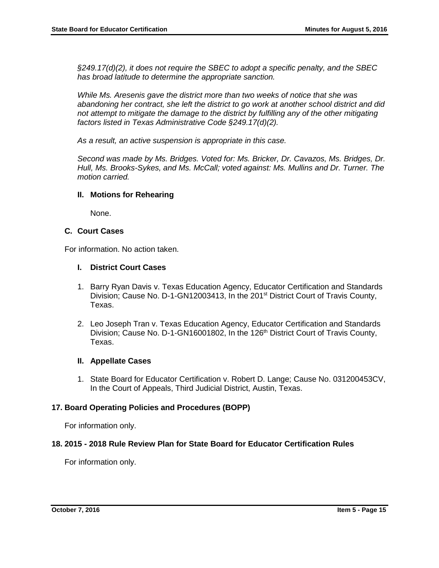*§249.17(d)(2), it does not require the SBEC to adopt a specific penalty, and the SBEC has broad latitude to determine the appropriate sanction.* 

*While Ms. Aresenis gave the district more than two weeks of notice that she was abandoning her contract, she left the district to go work at another school district and did not attempt to mitigate the damage to the district by fulfilling any of the other mitigating factors listed in Texas Administrative Code §249.17(d)(2).* 

*As a result, an active suspension is appropriate in this case.*

*Second was made by Ms. Bridges. Voted for: Ms. Bricker, Dr. Cavazos, Ms. Bridges, Dr. Hull, Ms. Brooks-Sykes, and Ms. McCall; voted against: Ms. Mullins and Dr. Turner. The motion carried.*

#### **II. Motions for Rehearing**

None.

#### **C. Court Cases**

For information. No action taken.

#### **I. District Court Cases**

- 1. Barry Ryan Davis v. Texas Education Agency, Educator Certification and Standards Division; Cause No. D-1-GN12003413, In the 201<sup>st</sup> District Court of Travis County, Texas.
- 2. Leo Joseph Tran v. Texas Education Agency, Educator Certification and Standards Division; Cause No. D-1-GN16001802, In the 126<sup>th</sup> District Court of Travis County, Texas.

#### **II. Appellate Cases**

1. State Board for Educator Certification v. Robert D. Lange; Cause No. 031200453CV, In the Court of Appeals, Third Judicial District, Austin, Texas.

#### **17. Board Operating Policies and Procedures (BOPP)**

For information only.

#### **18. 2015 - 2018 Rule Review Plan for State Board for Educator Certification Rules**

For information only.